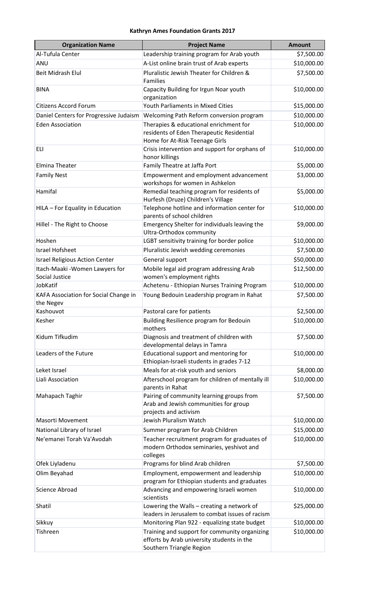## **Kathryn Ames Foundation Grants 2017**

| <b>Organization Name</b>                           | <b>Project Name</b>                                                                                                     | <b>Amount</b> |
|----------------------------------------------------|-------------------------------------------------------------------------------------------------------------------------|---------------|
| Al-Tufula Center                                   | Leadership training program for Arab youth                                                                              | \$7,500.00    |
| ANU                                                | A-List online brain trust of Arab experts                                                                               | \$10,000.00   |
| <b>Beit Midrash Elul</b>                           | Pluralistic Jewish Theater for Children &<br>Families                                                                   | \$7,500.00    |
| <b>BINA</b>                                        | Capacity Building for Irgun Noar youth<br>organization                                                                  | \$10,000.00   |
| <b>Citizens Accord Forum</b>                       | Youth Parliaments in Mixed Cities                                                                                       | \$15,000.00   |
| Daniel Centers for Progressive Judaism             | Welcoming Path Reform conversion program                                                                                | \$10,000.00   |
| <b>Eden Association</b>                            | Therapies & educational enrichment for<br>residents of Eden Therapeutic Residential<br>Home for At-Risk Teenage Girls   | \$10,000.00   |
| <b>ELI</b>                                         | Crisis intervention and support for orphans of<br>honor killings                                                        | \$10,000.00   |
| <b>Elmina Theater</b>                              | Family Theatre at Jaffa Port                                                                                            | \$5,000.00    |
| <b>Family Nest</b>                                 | Empowerment and employment advancement<br>workshops for women in Ashkelon                                               | \$3,000.00    |
| Hamifal                                            | Remedial teaching program for residents of<br>Hurfesh (Druze) Children's Village                                        | \$5,000.00    |
| HILA - For Equality in Education                   | Telephone hotline and information center for<br>parents of school children                                              | \$10,000.00   |
| Hillel - The Right to Choose                       | Emergency Shelter for individuals leaving the<br>Ultra-Orthodox community                                               | \$9,000.00    |
| Hoshen                                             | LGBT sensitivity training for border police                                                                             | \$10,000.00   |
| <b>Israel Hofsheet</b>                             | Pluralistic Jewish wedding ceremonies                                                                                   | \$7,500.00    |
| <b>Israel Religious Action Center</b>              | General support                                                                                                         | \$50,000.00   |
| Itach-Maaki - Women Lawyers for<br>Social Justice  | Mobile legal aid program addressing Arab<br>women's employment rights                                                   | \$12,500.00   |
| JobKatif                                           | Achetenu - Ethiopian Nurses Training Program                                                                            | \$10,000.00   |
| KAFA Association for Social Change in<br>the Negev | Young Bedouin Leadership program in Rahat                                                                               | \$7,500.00    |
| Kashouvot                                          | Pastoral care for patients                                                                                              | \$2,500.00    |
| Kesher                                             | Building Resilience program for Bedouin<br>mothers                                                                      | \$10,000.00   |
| Kidum Tifkudim                                     | Diagnosis and treatment of children with<br>developmental delays in Tamra                                               | \$7,500.00    |
| Leaders of the Future                              | Educational support and mentoring for<br>Ethiopian-Israeli students in grades 7-12                                      | \$10,000.00   |
| Leket Israel                                       | Meals for at-risk youth and seniors                                                                                     | \$8,000.00    |
| Liali Association                                  | Afterschool program for children of mentally ill<br>parents in Rahat                                                    | \$10,000.00   |
| Mahapach Taghir                                    | Pairing of community learning groups from<br>Arab and Jewish communities for group<br>projects and activism             | \$7,500.00    |
| <b>Masorti Movement</b>                            | Jewish Pluralism Watch                                                                                                  | \$10,000.00   |
| National Library of Israel                         | Summer program for Arab Children                                                                                        | \$15,000.00   |
| Ne'emanei Torah Va'Avodah                          | Teacher recruitment program for graduates of<br>modern Orthodox seminaries, yeshivot and<br>colleges                    | \$10,000.00   |
| Ofek Liyladenu                                     | Programs for blind Arab children                                                                                        | \$7,500.00    |
| Olim Beyahad                                       | Employment, empowerment and leadership<br>program for Ethiopian students and graduates                                  | \$10,000.00   |
| <b>Science Abroad</b>                              | Advancing and empowering Israeli women<br>scientists                                                                    | \$10,000.00   |
| Shatil                                             | Lowering the Walls - creating a network of<br>leaders in Jerusalem to combat issues of racism                           | \$25,000.00   |
| Sikkuy                                             | Monitoring Plan 922 - equalizing state budget                                                                           | \$10,000.00   |
| Tishreen                                           | Training and support for community organizing<br>efforts by Arab university students in the<br>Southern Triangle Region | \$10,000.00   |